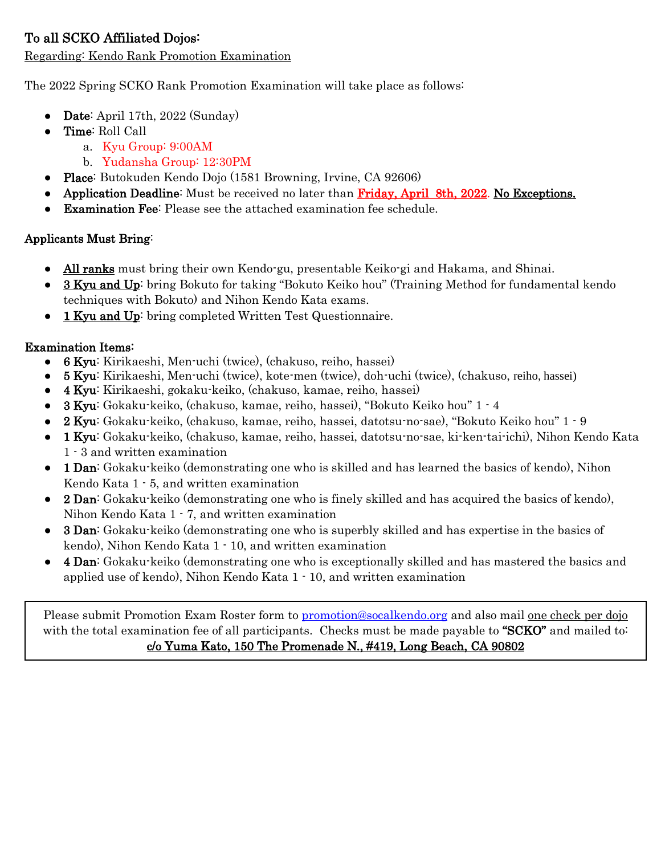# To all SCKO Affiliated Dojos:

Regarding: Kendo Rank Promotion Examination

The 2022 Spring SCKO Rank Promotion Examination will take place as follows:

- Date: April 17th,  $2022$  (Sunday)
- Time: Roll Call
	- a. Kyu Group: 9:00AM
	- b. Yudansha Group: 12:30PM
- Place: Butokuden Kendo Dojo (1581 Browning, Irvine, CA 92606)
- Application Deadline: Must be received no later than Friday, April 8th, 2022. No Exceptions.
- Examination Fee: Please see the attached examination fee schedule.

### Applicants Must Bring:

- All ranks must bring their own Kendo-gu, presentable Keiko-gi and Hakama, and Shinai.
- 3 Kyu and Up: bring Bokuto for taking "Bokuto Keiko hou" (Training Method for fundamental kendo techniques with Bokuto) and Nihon Kendo Kata exams.
- 1 Kyu and Up: bring completed Written Test Questionnaire.

### Examination Items:

- 6 Kyu: Kirikaeshi, Men-uchi (twice), (chakuso, reiho, hassei)
- 5 Kyu: Kirikaeshi, Men-uchi (twice), kote-men (twice), doh-uchi (twice), (chakuso, reiho, hassei)
- 4 Kyu: Kirikaeshi, gokaku-keiko, (chakuso, kamae, reiho, hassei)
- 3 Kyu: Gokaku-keiko, (chakuso, kamae, reiho, hassei), "Bokuto Keiko hou" 1 4
- 2 Kyu: Gokaku-keiko, (chakuso, kamae, reiho, hassei, datotsu-no-sae), "Bokuto Keiko hou" 1 9
- 1 Kyu: Gokaku-keiko, (chakuso, kamae, reiho, hassei, datotsu-no-sae, ki-ken-tai-ichi), Nihon Kendo Kata 1 - 3 and written examination
- 1 Dan: Gokaku-keiko (demonstrating one who is skilled and has learned the basics of kendo), Nihon Kendo Kata 1 - 5, and written examination
- 2 Dan: Gokaku-keiko (demonstrating one who is finely skilled and has acquired the basics of kendo), Nihon Kendo Kata 1 - 7, and written examination
- 3 Dan: Gokaku-keiko (demonstrating one who is superbly skilled and has expertise in the basics of kendo), Nihon Kendo Kata 1 - 10, and written examination
- 4 Dan: Gokaku-keiko (demonstrating one who is exceptionally skilled and has mastered the basics and applied use of kendo), Nihon Kendo Kata 1 - 10, and written examination

Please submit Promotion Exam Roster form to [promotion@socalkendo.org](mailto:promotion@socalkendo.org) and also mail <u>one check per dojo</u> with the total examination fee of all participants. Checks must be made payable to "SCKO" and mailed to c/o Yuma Kato, 150 The Promenade N., #419, Long Beach, CA 90802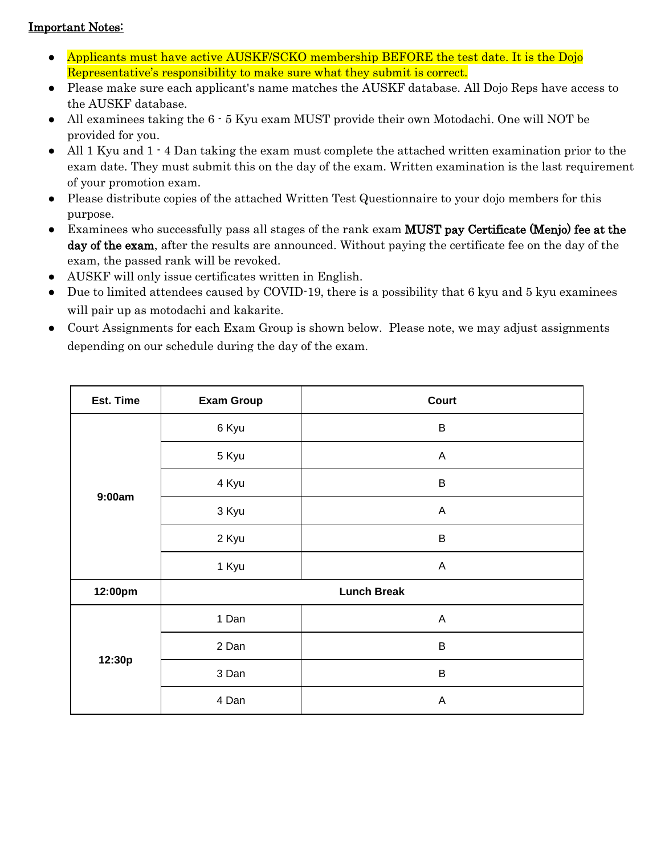#### Important Notes:

- Applicants must have active AUSKF/SCKO membership BEFORE the test date. It is the Dojo Representative's responsibility to make sure what they submit is correct.
- Please make sure each applicant's name matches the AUSKF database. All Dojo Reps have access to the AUSKF database.
- All examinees taking the 6  $\cdot$  5 Kyu exam MUST provide their own Motodachi. One will NOT be provided for you.
- All 1 Kyu and 1  $\cdot$  4 Dan taking the exam must complete the attached written examination prior to the exam date. They must submit this on the day of the exam. Written examination is the last requirement of your promotion exam.
- Please distribute copies of the attached Written Test Questionnaire to your dojo members for this purpose.
- Examinees who successfully pass all stages of the rank exam MUST pay Certificate (Menjo) fee at the day of the exam, after the results are announced. Without paying the certificate fee on the day of the exam, the passed rank will be revoked.
- AUSKF will only issue certificates written in English.
- Due to limited attendees caused by COVID-19, there is a possibility that 6 kyu and 5 kyu examinees will pair up as motodachi and kakarite.
- Court Assignments for each Exam Group is shown below. Please note, we may adjust assignments depending on our schedule during the day of the exam.

| Est. Time | <b>Exam Group</b>  | Court                     |
|-----------|--------------------|---------------------------|
| 9:00am    | 6 Kyu              | $\sf B$                   |
|           | 5 Kyu              | $\mathsf A$               |
|           | 4 Kyu              | $\sf B$                   |
|           | 3 Kyu              | A                         |
|           | 2 Kyu              | $\sf B$                   |
|           | 1 Kyu              | $\mathsf A$               |
| 12:00pm   | <b>Lunch Break</b> |                           |
| 12:30p    | 1 Dan              | $\boldsymbol{\mathsf{A}}$ |
|           | 2 Dan              | B                         |
|           | 3 Dan              | B                         |
|           | 4 Dan              | A                         |